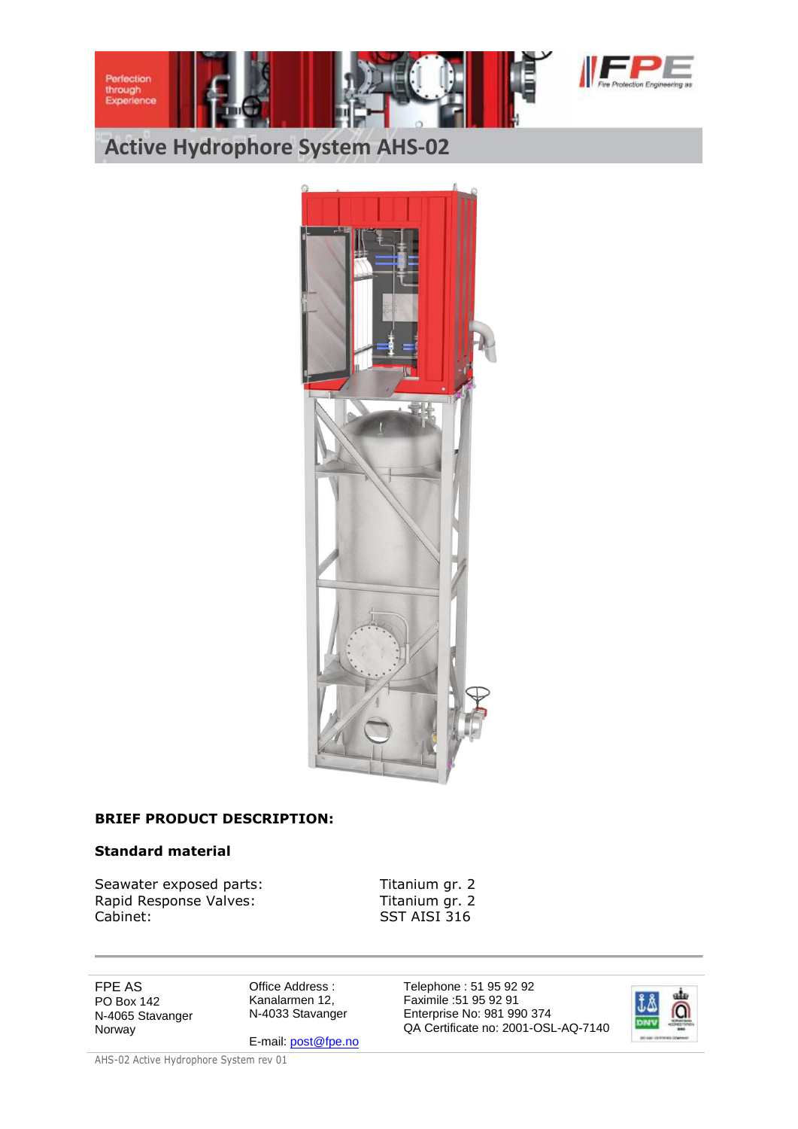





## **BRIEF PRODUCT DESCRIPTION:**

#### **Standard material**

Seawater exposed parts: Titanium gr. 2 Rapid Response Valves: Titanium gr. 2 Cabinet: SST AISI 316

FPE AS PO Box 142 N-4065 Stavanger Norway

Office Address : Kanalarmen 12, N-4033 Stavanger

E-mail[: post@fpe.no](mailto:post@fpe.no)

Telephone : 51 95 92 92 Faximile :51 95 92 91 Enterprise No: 981 990 374 QA Certificate no: 2001-OSL-AQ-7140

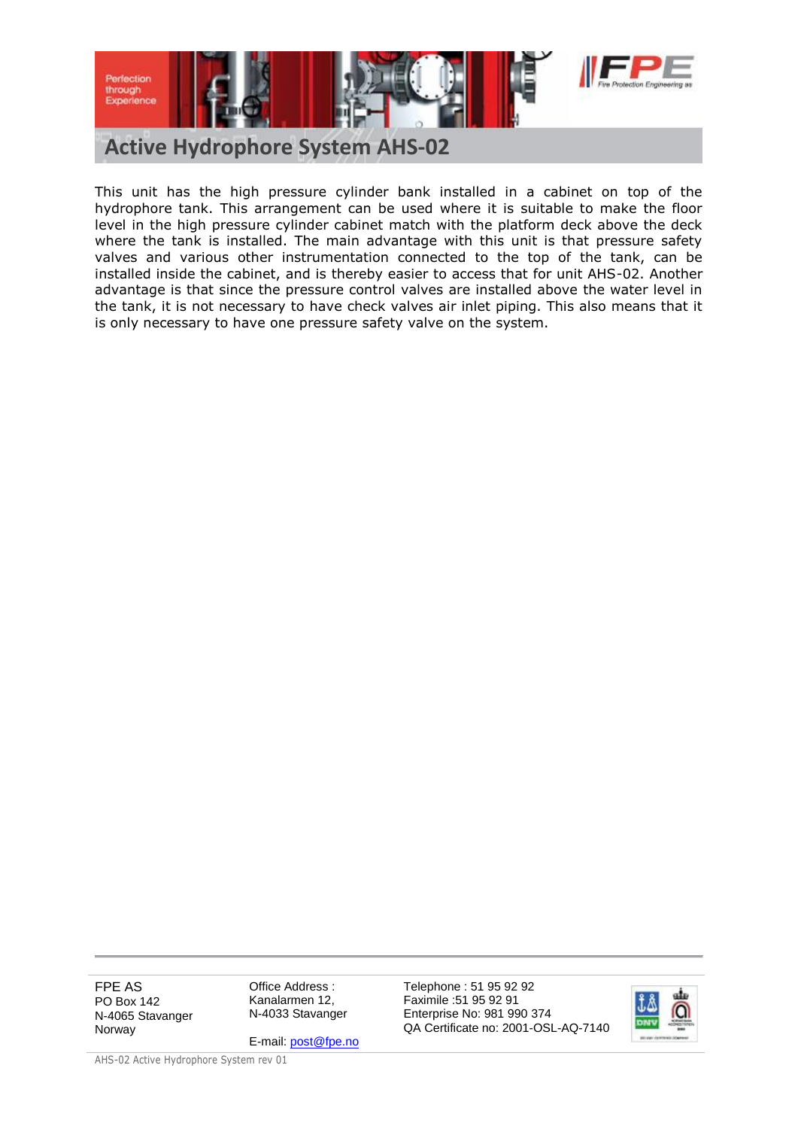

This unit has the high pressure cylinder bank installed in a cabinet on top of the hydrophore tank. This arrangement can be used where it is suitable to make the floor level in the high pressure cylinder cabinet match with the platform deck above the deck where the tank is installed. The main advantage with this unit is that pressure safety valves and various other instrumentation connected to the top of the tank, can be installed inside the cabinet, and is thereby easier to access that for unit AHS-02. Another advantage is that since the pressure control valves are installed above the water level in the tank, it is not necessary to have check valves air inlet piping. This also means that it is only necessary to have one pressure safety valve on the system.

FPE AS PO Box 142 N-4065 Stavanger Norway

Office Address : Kanalarmen 12, N-4033 Stavanger

E-mail[: post@fpe.no](mailto:post@fpe.no)

Telephone : 51 95 92 92 Faximile :51 95 92 91 Enterprise No: 981 990 374 QA Certificate no: 2001-OSL-AQ-7140

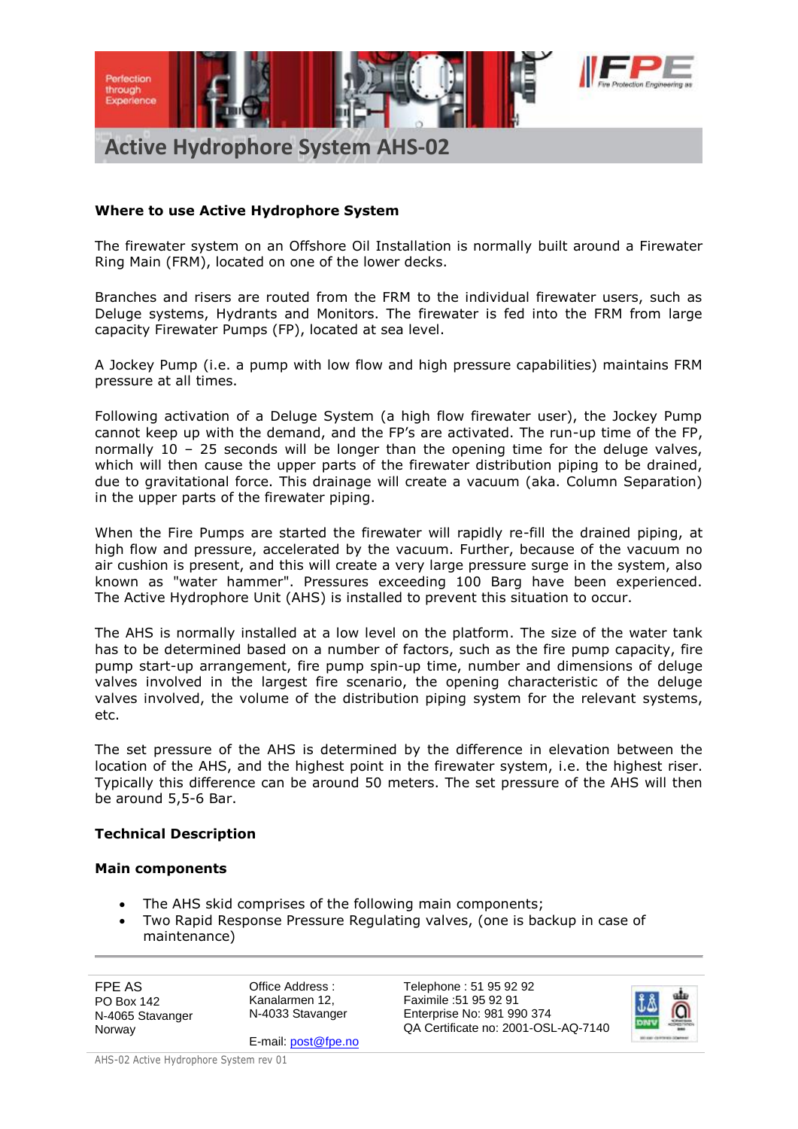

## **Where to use Active Hydrophore System**

The firewater system on an Offshore Oil Installation is normally built around a Firewater Ring Main (FRM), located on one of the lower decks.

Branches and risers are routed from the FRM to the individual firewater users, such as Deluge systems, Hydrants and Monitors. The firewater is fed into the FRM from large capacity Firewater Pumps (FP), located at sea level.

A Jockey Pump (i.e. a pump with low flow and high pressure capabilities) maintains FRM pressure at all times.

Following activation of a Deluge System (a high flow firewater user), the Jockey Pump cannot keep up with the demand, and the FP's are activated. The run-up time of the FP, normally 10 – 25 seconds will be longer than the opening time for the deluge valves, which will then cause the upper parts of the firewater distribution piping to be drained, due to gravitational force. This drainage will create a vacuum (aka. Column Separation) in the upper parts of the firewater piping.

When the Fire Pumps are started the firewater will rapidly re-fill the drained piping, at high flow and pressure, accelerated by the vacuum. Further, because of the vacuum no air cushion is present, and this will create a very large pressure surge in the system, also known as "water hammer". Pressures exceeding 100 Barg have been experienced. The Active Hydrophore Unit (AHS) is installed to prevent this situation to occur.

The AHS is normally installed at a low level on the platform. The size of the water tank has to be determined based on a number of factors, such as the fire pump capacity, fire pump start-up arrangement, fire pump spin-up time, number and dimensions of deluge valves involved in the largest fire scenario, the opening characteristic of the deluge valves involved, the volume of the distribution piping system for the relevant systems, etc.

The set pressure of the AHS is determined by the difference in elevation between the location of the AHS, and the highest point in the firewater system, i.e. the highest riser. Typically this difference can be around 50 meters. The set pressure of the AHS will then be around 5,5-6 Bar.

## **Technical Description**

#### **Main components**

- The AHS skid comprises of the following main components;
- Two Rapid Response Pressure Regulating valves, (one is backup in case of maintenance)

FPE AS PO Box 142 N-4065 Stavanger Norway

Office Address : Kanalarmen 12, N-4033 Stavanger

E-mail[: post@fpe.no](mailto:post@fpe.no)

Telephone : 51 95 92 92 Faximile :51 95 92 91 Enterprise No: 981 990 374 QA Certificate no: 2001-OSL-AQ-7140

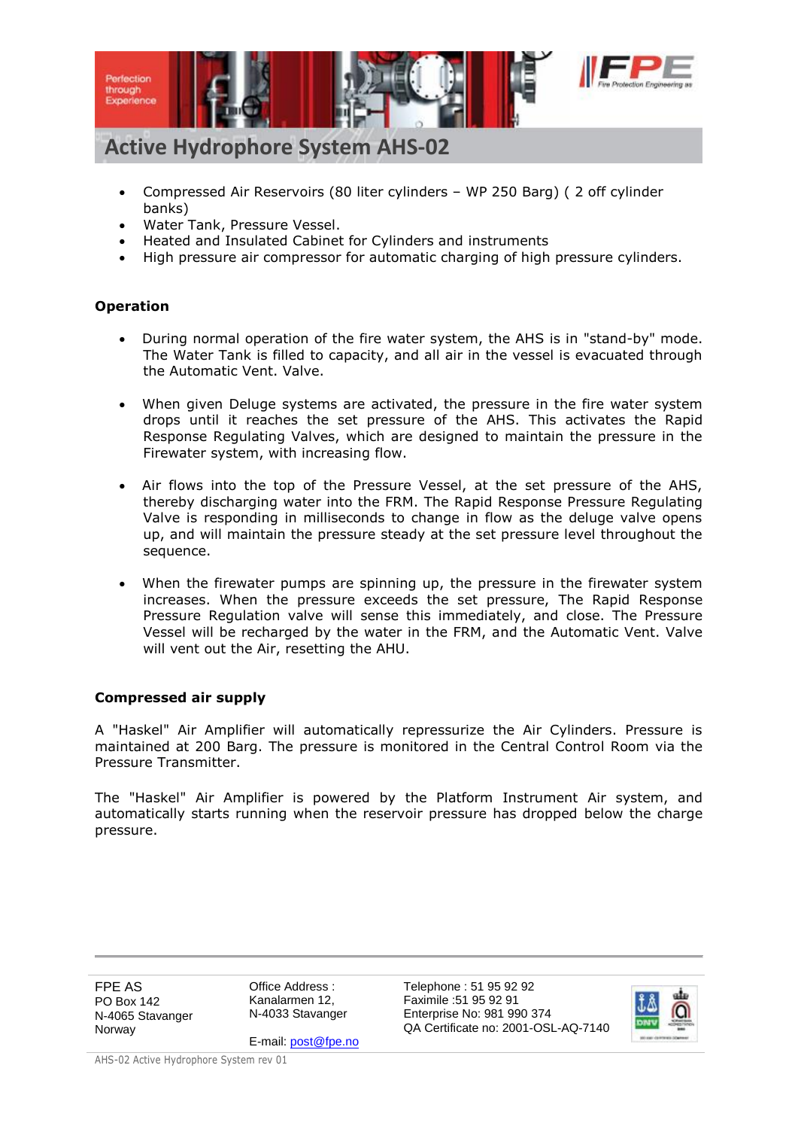

- Compressed Air Reservoirs (80 liter cylinders WP 250 Barg) ( 2 off cylinder banks)
- Water Tank, Pressure Vessel.
- Heated and Insulated Cabinet for Cylinders and instruments
- High pressure air compressor for automatic charging of high pressure cylinders.

## **Operation**

- During normal operation of the fire water system, the AHS is in "stand-by" mode. The Water Tank is filled to capacity, and all air in the vessel is evacuated through the Automatic Vent. Valve.
- When given Deluge systems are activated, the pressure in the fire water system drops until it reaches the set pressure of the AHS. This activates the Rapid Response Regulating Valves, which are designed to maintain the pressure in the Firewater system, with increasing flow.
- Air flows into the top of the Pressure Vessel, at the set pressure of the AHS, thereby discharging water into the FRM. The Rapid Response Pressure Regulating Valve is responding in milliseconds to change in flow as the deluge valve opens up, and will maintain the pressure steady at the set pressure level throughout the sequence.
- When the firewater pumps are spinning up, the pressure in the firewater system increases. When the pressure exceeds the set pressure, The Rapid Response Pressure Regulation valve will sense this immediately, and close. The Pressure Vessel will be recharged by the water in the FRM, and the Automatic Vent. Valve will vent out the Air, resetting the AHU.

## **Compressed air supply**

A "Haskel" Air Amplifier will automatically repressurize the Air Cylinders. Pressure is maintained at 200 Barg. The pressure is monitored in the Central Control Room via the Pressure Transmitter.

The "Haskel" Air Amplifier is powered by the Platform Instrument Air system, and automatically starts running when the reservoir pressure has dropped below the charge pressure.

FPE AS PO Box 142 N-4065 Stavanger Norway

Office Address : Kanalarmen 12, N-4033 Stavanger

E-mail[: post@fpe.no](mailto:post@fpe.no)

Telephone : 51 95 92 92 Faximile :51 95 92 91 Enterprise No: 981 990 374 QA Certificate no: 2001-OSL-AQ-7140

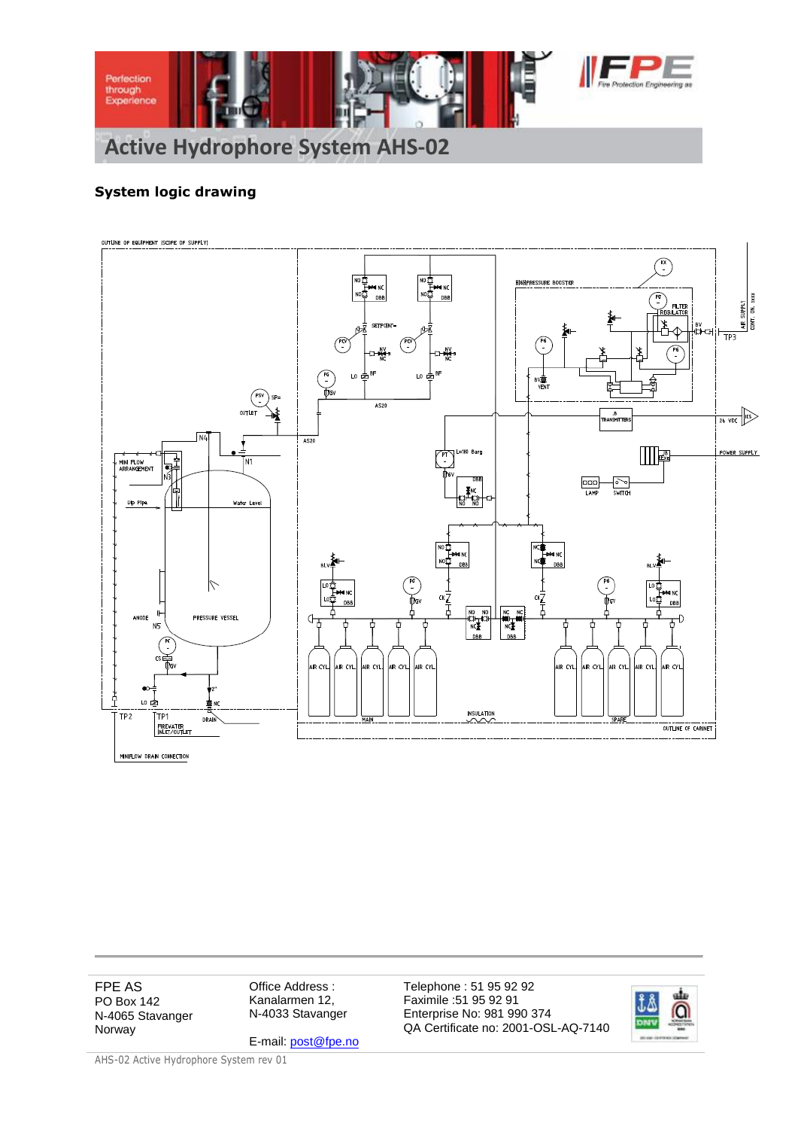

## **System logic drawing**



FPE AS PO Box 142 N-4065 Stavanger Norway

Office Address : Kanalarmen 12, N-4033 Stavanger

E-mail[: post@fpe.no](mailto:post@fpe.no)

Telephone : 51 95 92 92 Faximile :51 95 92 91 Enterprise No: 981 990 374 QA Certificate no: 2001-OSL-AQ-7140

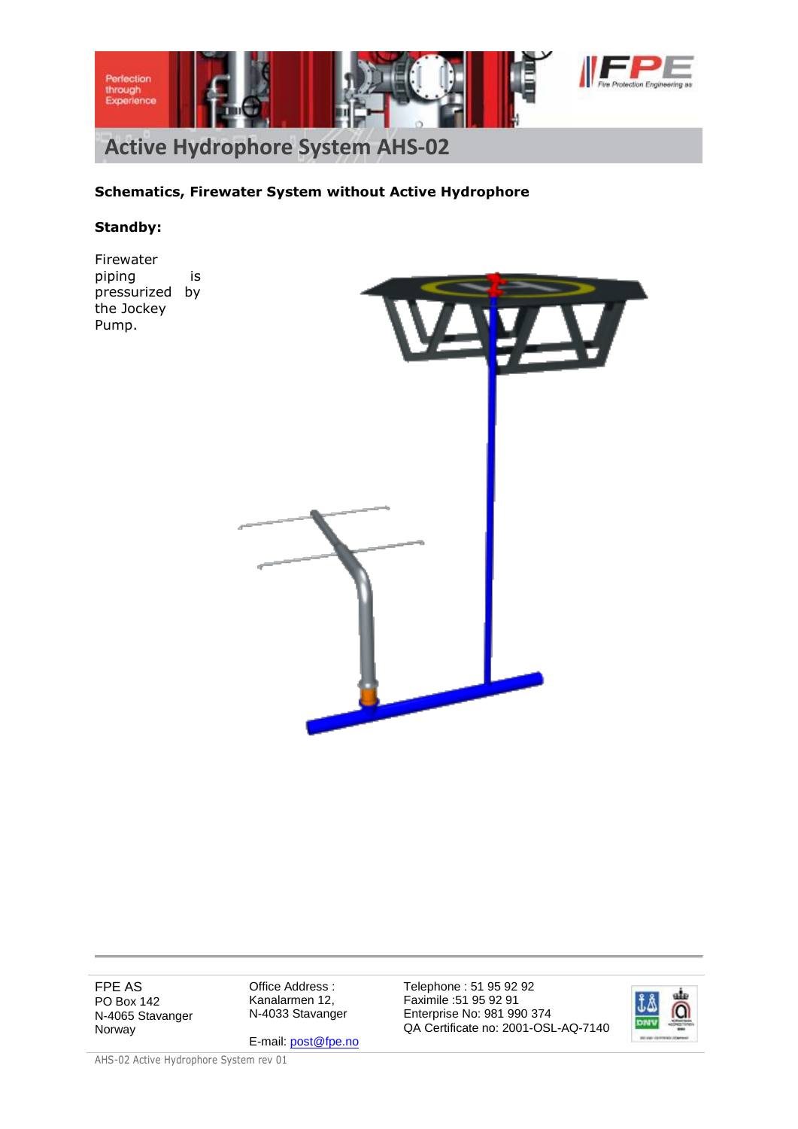

## **Schematics, Firewater System without Active Hydrophore**

#### **Standby:**

Firewater piping is pressurized by the Jockey Pump.



FPE AS PO Box 142 N-4065 Stavanger Norway

Office Address : Kanalarmen 12, N-4033 Stavanger

E-mail[: post@fpe.no](mailto:post@fpe.no)

Telephone : 51 95 92 92 Faximile :51 95 92 91 Enterprise No: 981 990 374 QA Certificate no: 2001-OSL-AQ-7140

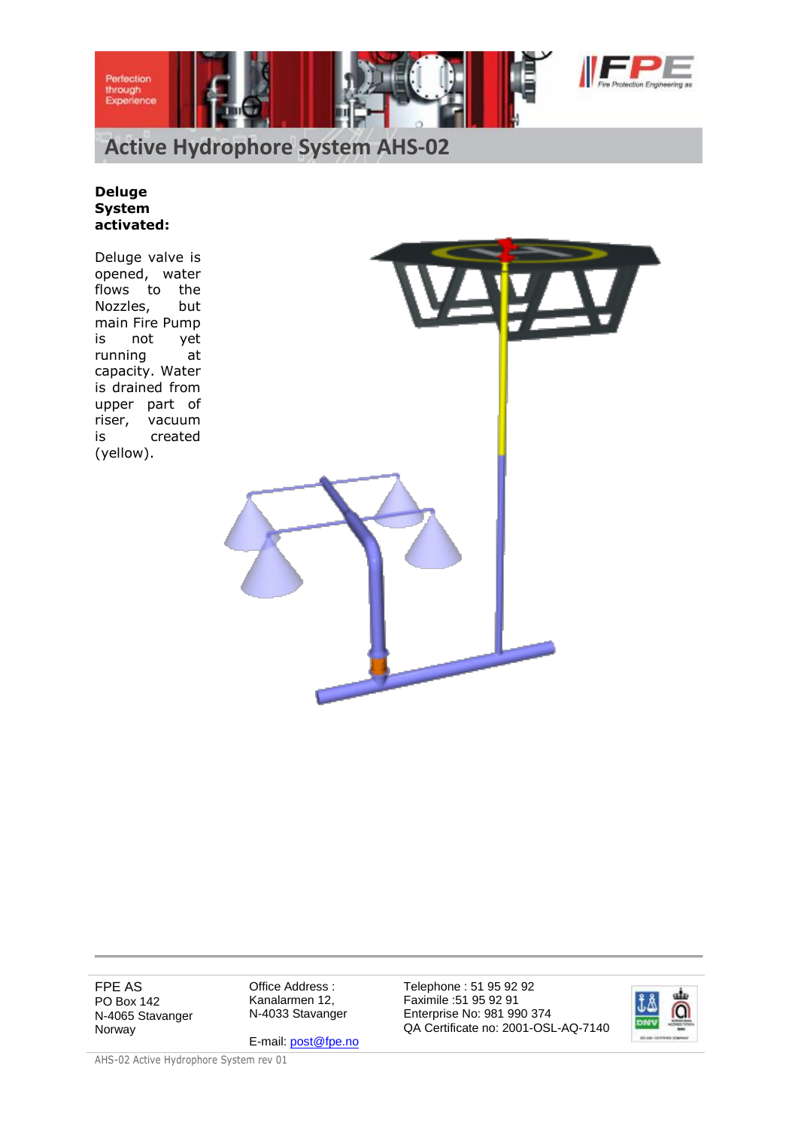



#### **Deluge System activated:**

Deluge valve is opened, water flows to the Nozzles, but main Fire Pump is not yet running at capacity. Water is drained from upper part of riser, vacuum is created (yellow).



FPE AS PO Box 142 N-4065 Stavanger Norway

Office Address : Kanalarmen 12, N-4033 Stavanger

E-mail[: post@fpe.no](mailto:post@fpe.no)

Telephone : 51 95 92 92 Faximile :51 95 92 91 Enterprise No: 981 990 374 QA Certificate no: 2001-OSL-AQ-7140

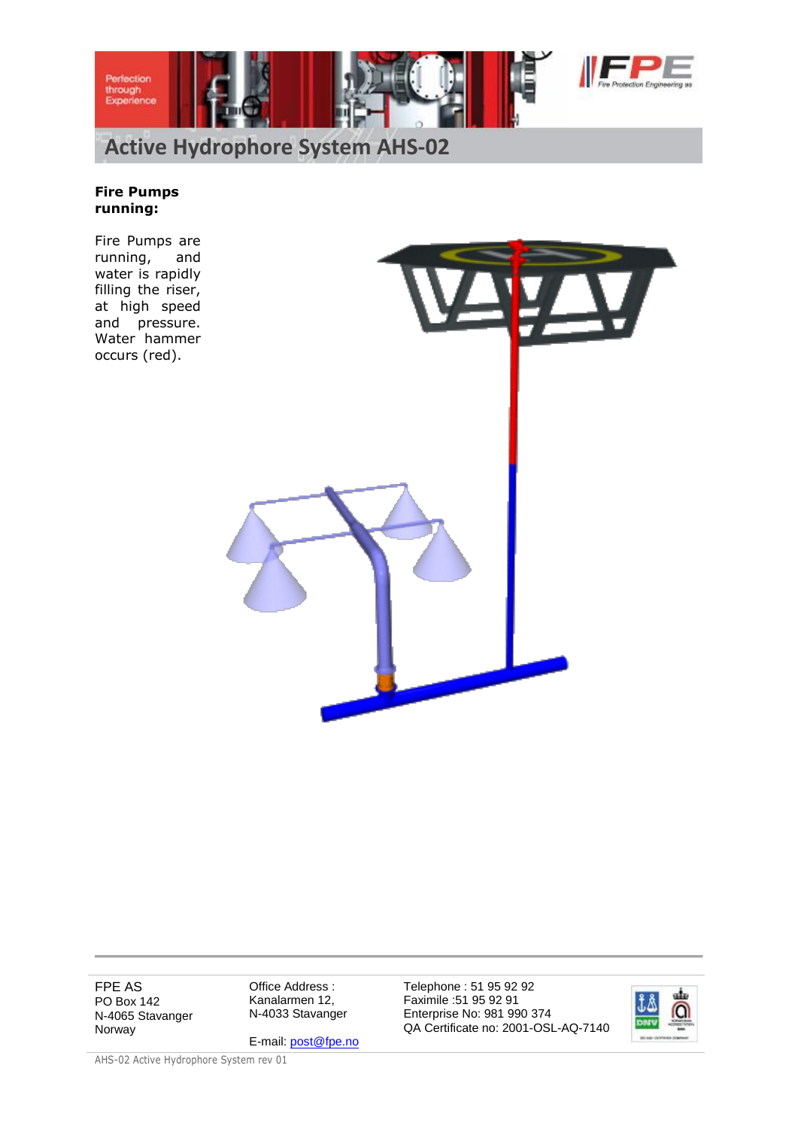



# **Fire Pumps running:**

Fire Pumps are running, and water is rapidly filling the riser, at high speed and pressure. Water hammer occurs (red).



FPE AS PO Box 142 N-4065 Stavanger Norway

Office Address : Kanalarmen 12, N-4033 Stavanger

E-mail[: post@fpe.no](mailto:post@fpe.no)

Telephone : 51 95 92 92 Faximile :51 95 92 91 Enterprise No: 981 990 374 QA Certificate no: 2001-OSL-AQ-7140

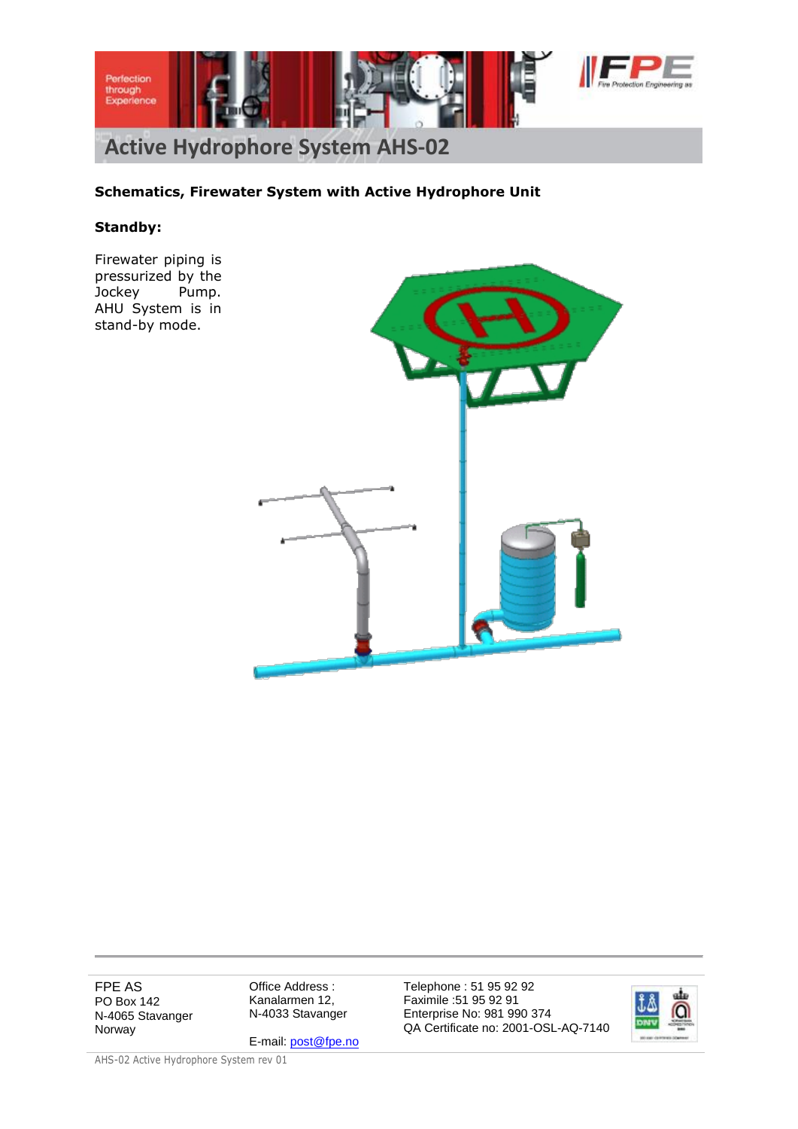

## **Schematics, Firewater System with Active Hydrophore Unit**

#### **Standby:**

Firewater piping is pressurized by the Jockey Pump. AHU System is in stand-by mode.



FPE AS PO Box 142 N-4065 Stavanger Norway

Office Address : Kanalarmen 12, N-4033 Stavanger

E-mail[: post@fpe.no](mailto:post@fpe.no)

Telephone : 51 95 92 92 Faximile :51 95 92 91 Enterprise No: 981 990 374 QA Certificate no: 2001-OSL-AQ-7140

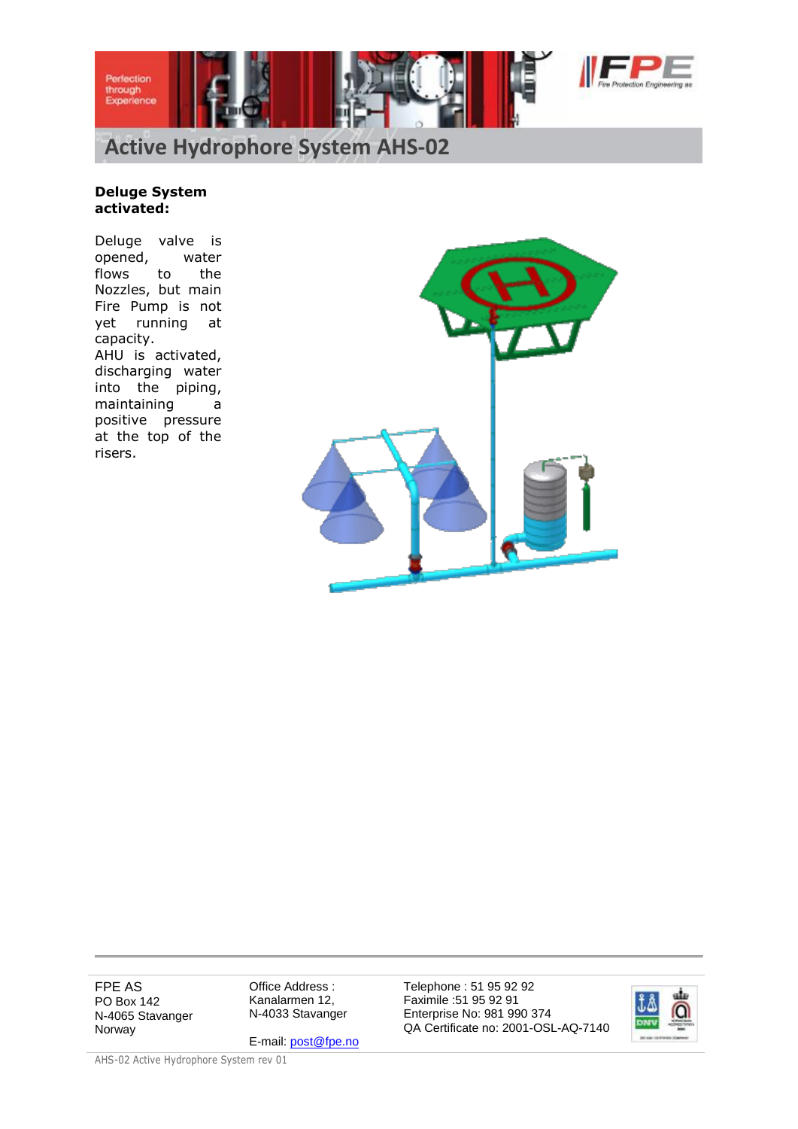



#### **Deluge System activated:**

Deluge valve is opened, water flows to the Nozzles, but main Fire Pump is not yet running at capacity. AHU is activated, discharging water into the piping, maintaining a positive pressure at the top of the risers.



FPE AS PO Box 142 N-4065 Stavanger Norway

Office Address : Kanalarmen 12, N-4033 Stavanger

E-mail[: post@fpe.no](mailto:post@fpe.no)

Telephone : 51 95 92 92 Faximile :51 95 92 91 Enterprise No: 981 990 374 QA Certificate no: 2001-OSL-AQ-7140